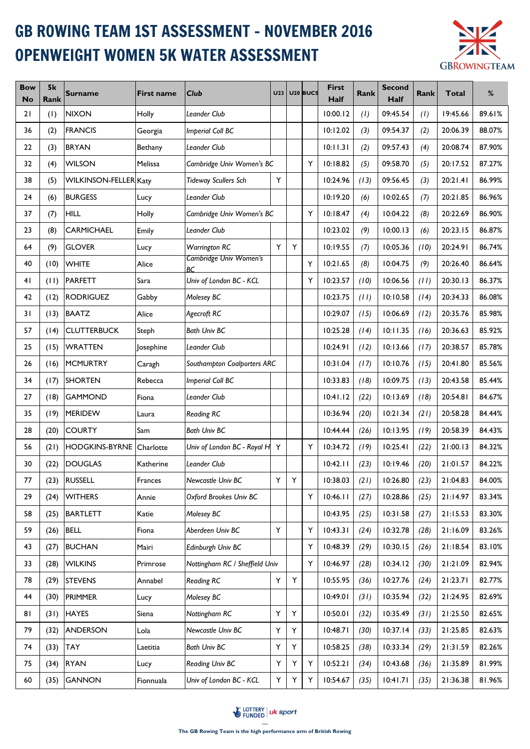## GB ROWING TEAM 1ST ASSESSMENT - NOVEMBER 2016 OPENWEIGHT WOMEN 5K WATER ASSESSMENT



| <b>Bow</b><br><b>No</b> | 5k<br>Rank | <b>Surname</b>        | <b>First name</b> | <b>Club</b>                          | <b>U23</b> |   | U <sub>20</sub> BUCS | <b>First</b><br>Half | Rank | <b>Second</b><br><b>Half</b> | Rank | <b>Total</b> | %      |
|-------------------------|------------|-----------------------|-------------------|--------------------------------------|------------|---|----------------------|----------------------|------|------------------------------|------|--------------|--------|
| 21                      | (1)        | <b>NIXON</b>          | Holly             | Leander Club                         |            |   |                      | 10:00.12             | (1)  | 09:45.54                     | (1)  | 19:45.66     | 89.61% |
| 36                      | (2)        | <b>FRANCIS</b>        | Georgia           | <b>Imperial Coll BC</b>              |            |   |                      | 10:12.02             | (3)  | 09:54.37                     | (2)  | 20:06.39     | 88.07% |
| 22                      | (3)        | <b>BRYAN</b>          | Bethany           | Leander Club                         |            |   |                      | 10:11.31             | (2)  | 09:57.43                     | (4)  | 20:08.74     | 87.90% |
| 32                      | (4)        | <b>WILSON</b>         | Melissa           | Cambridge Univ Women's BC            |            |   | Y                    | 10:18.82             | (5)  | 09:58.70                     | (5)  | 20:17.52     | 87.27% |
| 38                      | (5)        | WILKINSON-FELLER Katy |                   | <b>Tideway Scullers Sch</b>          | Y          |   |                      | 10:24.96             | (13) | 09:56.45                     | (3)  | 20:21.41     | 86.99% |
| 24                      | (6)        | <b>BURGESS</b>        | Lucy              | Leander Club                         |            |   |                      | 10:19.20             | (6)  | 10:02.65                     | (7)  | 20:21.85     | 86.96% |
| 37                      | (7)        | <b>HILL</b>           | Holly             | Cambridge Univ Women's BC            |            |   | Υ                    | 10:18.47             | (4)  | 10:04.22                     | (8)  | 20:22.69     | 86.90% |
| 23                      | (8)        | <b>CARMICHAEL</b>     | Emily             | Leander Club                         |            |   |                      | 10:23.02             | (9)  | 10:00.13                     | (6)  | 20:23.15     | 86.87% |
| 64                      | (9)        | <b>GLOVER</b>         | Lucy              | Warrington RC                        | Y          | Υ |                      | 10:19.55             | (7)  | 10:05.36                     | (10) | 20:24.91     | 86.74% |
| 40                      | (10)       | <b>WHITE</b>          | Alice             | <b>Cambridge Univ Women's</b><br>BC. |            |   | Y                    | 10:21.65             | (8)  | 10:04.75                     | (9)  | 20:26.40     | 86.64% |
| 41                      | (11)       | PARFETT               | Sara              | Univ of London BC - KCL              |            |   | Υ                    | 10:23.57             | (10) | 10:06.56                     | (11) | 20:30.13     | 86.37% |
| 42                      | (12)       | <b>RODRIGUEZ</b>      | Gabby             | Molesey BC                           |            |   |                      | 10:23.75             | (11) | 10:10.58                     | (14) | 20:34.33     | 86.08% |
| 31                      | (13)       | <b>BAATZ</b>          | Alice             | Agecroft RC                          |            |   |                      | 10:29.07             | (15) | 10:06.69                     | (12) | 20:35.76     | 85.98% |
| 57                      | (14)       | <b>CLUTTERBUCK</b>    | Steph             | <b>Bath Univ BC</b>                  |            |   |                      | 10:25.28             | (14) | 10:11.35                     | (16) | 20:36.63     | 85.92% |
| 25                      | (15)       | <b>WRATTEN</b>        | <b>Josephine</b>  | Leander Club                         |            |   |                      | 10:24.91             | (12) | 10:13.66                     | (17) | 20:38.57     | 85.78% |
| 26                      | (16)       | <b>MCMURTRY</b>       | Caragh            | Southampton Coalporters ARC          |            |   |                      | 10:31.04             | (17) | 10:10.76                     | (15) | 20:41.80     | 85.56% |
| 34                      | (17)       | <b>SHORTEN</b>        | Rebecca           | <b>Imperial Coll BC</b>              |            |   |                      | 10:33.83             | (18) | 10:09.75                     | (13) | 20:43.58     | 85.44% |
| 27                      | (18)       | <b>GAMMOND</b>        | Fiona             | Leander Club                         |            |   |                      | 10:41.12             | (22) | 10:13.69                     | (18) | 20:54.81     | 84.67% |
| 35                      | (19)       | <b>MERIDEW</b>        | Laura             | <b>Reading RC</b>                    |            |   |                      | 10:36.94             | (20) | 10:21.34                     | (21) | 20:58.28     | 84.44% |
| 28                      | (20)       | <b>COURTY</b>         | Sam               | <b>Bath Univ BC</b>                  |            |   |                      | 10:44.44             | (26) | 10:13.95                     | (19) | 20:58.39     | 84.43% |
| 56                      | (21)       | <b>HODGKINS-BYRNE</b> | Charlotte         | Univ of London BC - Royal H          | Y          |   | Υ                    | 10:34.72             | (19) | 10:25.41                     | (22) | 21:00.13     | 84.32% |
| 30                      | (22)       | <b>DOUGLAS</b>        | Katherine         | Leander Club                         |            |   |                      | 10:42.11             | (23) | 10:19.46                     | (20) | 21:01.57     | 84.22% |
| $77 \,$                 |            | $(23)$ RUSSELL        | Frances           | Newcastle Univ BC                    | Y          | Y |                      | 10:38.03             | (21) | 10:26.80                     | (23) | 21:04.83     | 84.00% |
| 29                      | (24)       | <b>WITHERS</b>        | Annie             | Oxford Brookes Univ BC               |            |   | Y                    | 10:46.11             | (27) | 10:28.86                     | (25) | 21:14.97     | 83.34% |
| 58                      | (25)       | <b>BARTLETT</b>       | Katie             | Molesey BC                           |            |   |                      | 10:43.95             | (25) | 10:31.58                     | (27) | 21:15.53     | 83.30% |
| 59                      | (26)       | <b>BELL</b>           | Fiona             | Aberdeen Univ BC                     | Y          |   | Υ                    | 10:43.31             | (24) | 10:32.78                     | (28) | 21:16.09     | 83.26% |
| 43                      | (27)       | <b>BUCHAN</b>         | Mairi             | Edinburgh Univ BC                    |            |   | Υ                    | 10:48.39             | (29) | 10:30.15                     | (26) | 21:18.54     | 83.10% |
| 33                      | (28)       | <b>WILKINS</b>        | Primrose          | Nottingham RC / Sheffield Univ       |            |   | Y                    | 10:46.97             | (28) | 10:34.12                     | (30) | 21:21.09     | 82.94% |
| 78                      | (29)       | <b>STEVENS</b>        | Annabel           | <b>Reading RC</b>                    | Y          | Y |                      | 10:55.95             | (36) | 10:27.76                     | (24) | 21:23.71     | 82.77% |
| 44                      | (30)       | <b>PRIMMER</b>        | Lucy              | Molesey BC                           |            |   |                      | 10:49.01             | (31) | 10:35.94                     | (32) | 21:24.95     | 82.69% |
| 81                      | (31)       | <b>HAYES</b>          | Siena             | Nottingham RC                        | Υ          | Y |                      | 10:50.01             | (32) | 10:35.49                     | (31) | 21:25.50     | 82.65% |
| 79                      | (32)       | <b>ANDERSON</b>       | Lola              | Newcastle Univ BC                    | Υ          | Y |                      | 10:48.71             | (30) | 10:37.14                     | (33) | 21:25.85     | 82.63% |
| 74                      | (33)       | <b>TAY</b>            | Laetitia          | <b>Bath Univ BC</b>                  | Υ          | Y |                      | 10:58.25             | (38) | 10:33.34                     | (29) | 21:31.59     | 82.26% |
| 75                      | (34)       | <b>RYAN</b>           | Lucy              | Reading Univ BC                      | Y          | Υ | Υ                    | 10:52.21             | (34) | 10:43.68                     | (36) | 21:35.89     | 81.99% |
| 60                      | (35)       | <b>GANNON</b>         | Fionnuala         | Univ of London BC - KCL              | Y          | Υ | Υ                    | 10:54.67             | (35) | 10:41.71                     | (35) | 21:36.38     | 81.96% |